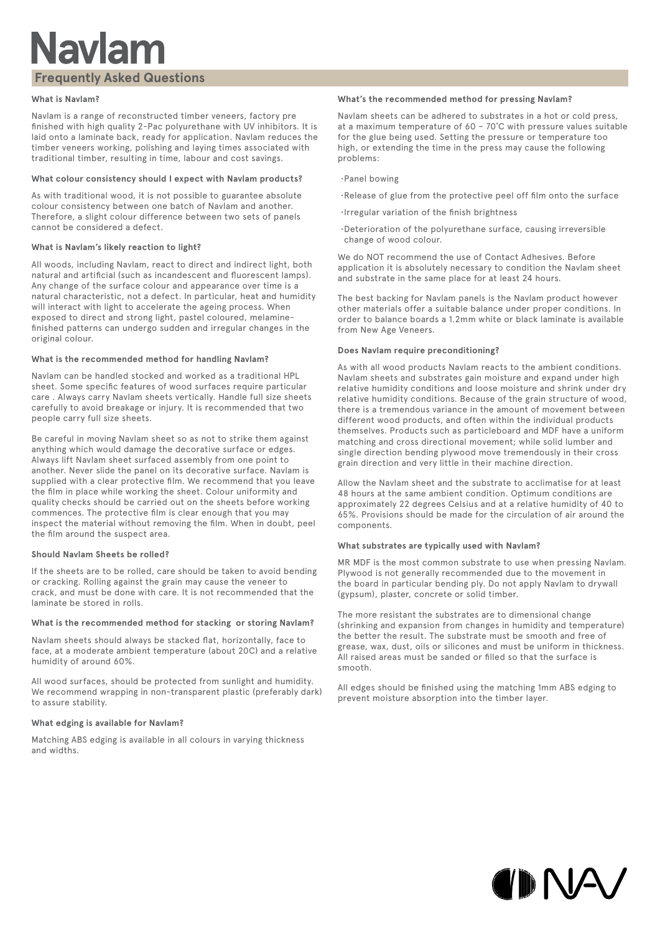## **Navlam**

### **Frequently Asked Questions**

#### **What is Navlam?**

Navlam is a range of reconstructed timber veneers, factory pre finished with high quality 2-Pac polyurethane with UV inhibitors. It is laid onto a laminate back, ready for application. Navlam reduces the timber veneers working, polishing and laying times associated with traditional timber, resulting in time, labour and cost savings.

#### **What colour consistency should I expect with Navlam products?**

As with traditional wood, it is not possible to guarantee absolute colour consistency between one batch of Navlam and another. Therefore, a slight colour difference between two sets of panels cannot be considered a defect.

#### **What is Navlam's likely reaction to light?**

All woods, including Navlam, react to direct and indirect light, both natural and artificial (such as incandescent and fluorescent lamps). Any change of the surface colour and appearance over time is a natural characteristic, not a defect. In particular, heat and humidity will interact with light to accelerate the ageing process. When exposed to direct and strong light, pastel coloured, melaminefinished patterns can undergo sudden and irregular changes in the original colour.

#### **What is the recommended method for handling Navlam?**

Navlam can be handled stocked and worked as a traditional HPL sheet. Some specific features of wood surfaces require particular care . Always carry Navlam sheets vertically. Handle full size sheets carefully to avoid breakage or injury. It is recommended that two people carry full size sheets.

Be careful in moving Navlam sheet so as not to strike them against anything which would damage the decorative surface or edges. Always lift Navlam sheet surfaced assembly from one point to another. Never slide the panel on its decorative surface. Navlam is supplied with a clear protective film. We recommend that you leave the film in place while working the sheet. Colour uniformity and quality checks should be carried out on the sheets before working commences. The protective film is clear enough that you may inspect the material without removing the film. When in doubt, peel the film around the suspect area.

#### **Should Navlam Sheets be rolled?**

If the sheets are to be rolled, care should be taken to avoid bending or cracking. Rolling against the grain may cause the veneer to crack, and must be done with care. It is not recommended that the laminate be stored in rolls.

#### **What is the recommended method for stacking or storing Navlam?**

Navlam sheets should always be stacked flat, horizontally, face to face, at a moderate ambient temperature (about 20C) and a relative humidity of around 60%.

All wood surfaces, should be protected from sunlight and humidity. We recommend wrapping in non-transparent plastic (preferably dark) to assure stability.

#### **What edging is available for Navlam?**

Matching ABS edging is available in all colours in varying thickness and widths.

#### **What's the recommended method for pressing Navlam?**

Navlam sheets can be adhered to substrates in a hot or cold press, at a maximum temperature of 60 – 70˚C with pressure values suitable for the glue being used. Setting the pressure or temperature too high, or extending the time in the press may cause the following problems:

- • Panel bowing
- • Release of glue from the protective peel off film onto the surface
- • Irregular variation of the finish brightness
- • Deterioration of the polyurethane surface, causing irreversible change of wood colour.

We do NOT recommend the use of Contact Adhesives. Before application it is absolutely necessary to condition the Navlam sheet and substrate in the same place for at least 24 hours.

The best backing for Navlam panels is the Navlam product however other materials offer a suitable balance under proper conditions. In order to balance boards a 1.2mm white or black laminate is available from New Age Veneers.

#### **Does Navlam require preconditioning?**

As with all wood products Navlam reacts to the ambient conditions. Navlam sheets and substrates gain moisture and expand under high relative humidity conditions and loose moisture and shrink under dry relative humidity conditions. Because of the grain structure of wood, there is a tremendous variance in the amount of movement between different wood products, and often within the individual products themselves. Products such as particleboard and MDF have a uniform matching and cross directional movement; while solid lumber and single direction bending plywood move tremendously in their cross grain direction and very little in their machine direction.

Allow the Navlam sheet and the substrate to acclimatise for at least 48 hours at the same ambient condition. Optimum conditions are approximately 22 degrees Celsius and at a relative humidity of 40 to 65%. Provisions should be made for the circulation of air around the components.

#### **What substrates are typically used with Navlam?**

MR MDF is the most common substrate to use when pressing Navlam. Plywood is not generally recommended due to the movement in the board in particular bending ply. Do not apply Navlam to drywall (gypsum), plaster, concrete or solid timber.

The more resistant the substrates are to dimensional change (shrinking and expansion from changes in humidity and temperature) the better the result. The substrate must be smooth and free of grease, wax, dust, oils or silicones and must be uniform in thickness. All raised areas must be sanded or filled so that the surface is smooth.

All edges should be finished using the matching 1mm ABS edging to prevent moisture absorption into the timber layer.